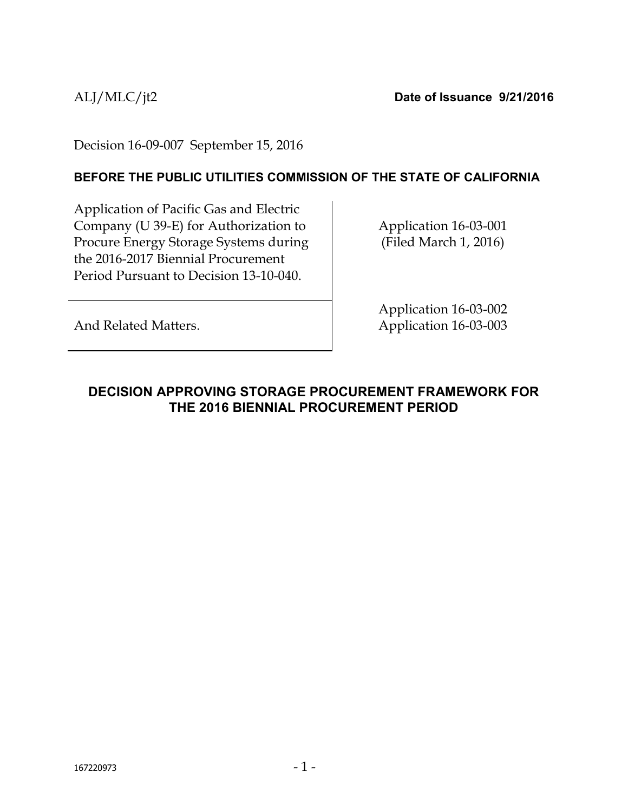ALJ/MLC/jt2 **Date of Issuance 9/21/2016**

Decision 16-09-007 September 15, 2016

### **BEFORE THE PUBLIC UTILITIES COMMISSION OF THE STATE OF CALIFORNIA**

Application of Pacific Gas and Electric Company (U 39-E) for Authorization to Procure Energy Storage Systems during the 2016-2017 Biennial Procurement Period Pursuant to Decision 13-10-040.

Application 16-03-001 (Filed March 1, 2016)

Application 16-03-002 Application 16-03-003

And Related Matters.

## <span id="page-0-0"></span>**DECISION APPROVING STORAGE PROCUREMENT FRAMEWORK FOR THE 2016 BIENNIAL PROCUREMENT PERIOD**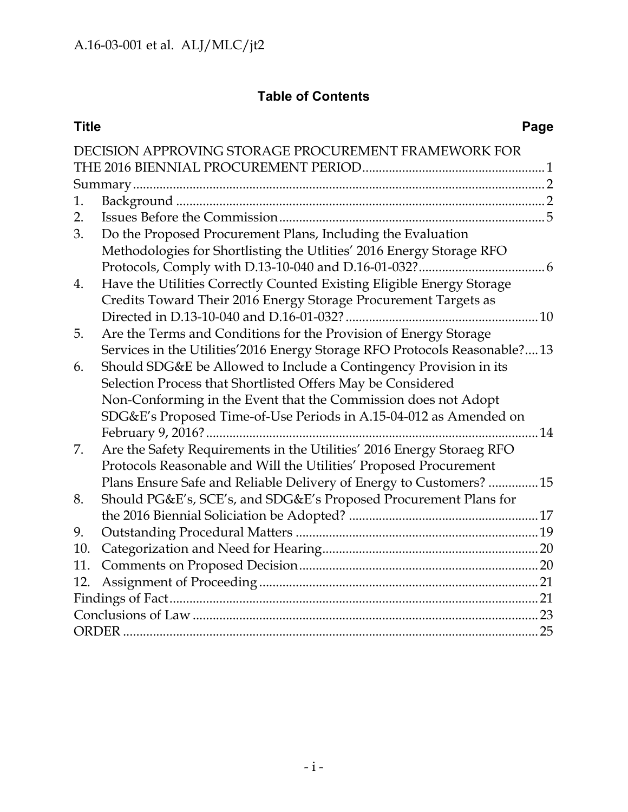# **Table of Contents**

| <b>Title</b> |                                                                             | Page |
|--------------|-----------------------------------------------------------------------------|------|
|              | DECISION APPROVING STORAGE PROCUREMENT FRAMEWORK FOR                        |      |
|              |                                                                             |      |
|              |                                                                             |      |
| 1.           |                                                                             |      |
| 2.           |                                                                             |      |
| 3.           | Do the Proposed Procurement Plans, Including the Evaluation                 |      |
|              | Methodologies for Shortlisting the Utlities' 2016 Energy Storage RFO        |      |
|              |                                                                             |      |
| 4.           | Have the Utilities Correctly Counted Existing Eligible Energy Storage       |      |
|              | Credits Toward Their 2016 Energy Storage Procurement Targets as             |      |
|              |                                                                             |      |
| 5.           | Are the Terms and Conditions for the Provision of Energy Storage            |      |
|              | Services in the Utilities' 2016 Energy Storage RFO Protocols Reasonable? 13 |      |
| 6.           | Should SDG&E be Allowed to Include a Contingency Provision in its           |      |
|              | Selection Process that Shortlisted Offers May be Considered                 |      |
|              | Non-Conforming in the Event that the Commission does not Adopt              |      |
|              | SDG&E's Proposed Time-of-Use Periods in A.15-04-012 as Amended on           |      |
|              |                                                                             |      |
| 7.           | Are the Safety Requirements in the Utilities' 2016 Energy Storaeg RFO       |      |
|              | Protocols Reasonable and Will the Utilities' Proposed Procurement           |      |
|              | Plans Ensure Safe and Reliable Delivery of Energy to Customers?  15         |      |
| 8.           | Should PG&E's, SCE's, and SDG&E's Proposed Procurement Plans for            |      |
|              |                                                                             |      |
| 9.           |                                                                             |      |
| 10.          |                                                                             |      |
| 11.          |                                                                             |      |
| 12.          |                                                                             |      |
|              |                                                                             |      |
|              |                                                                             |      |
|              |                                                                             |      |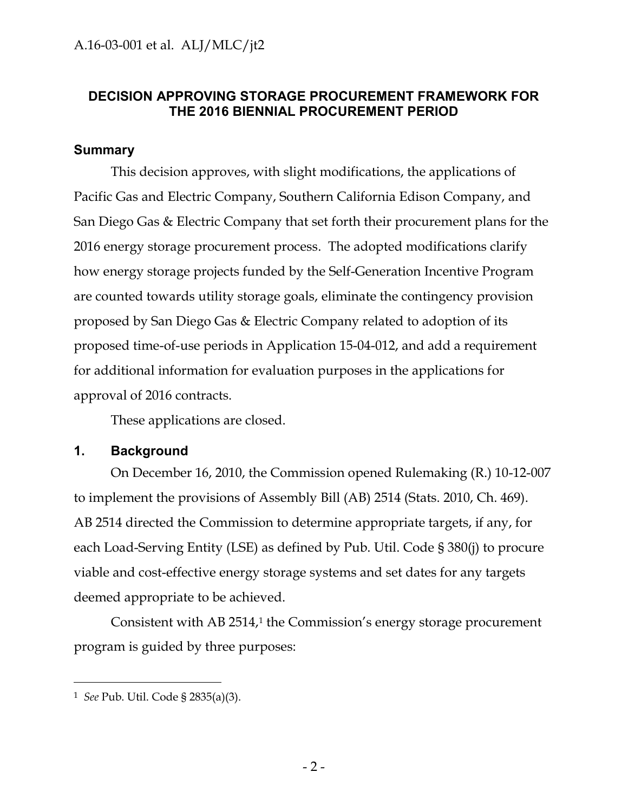### **DECISION APPROVING STORAGE PROCUREMENT FRAMEWORK FOR THE 2016 BIENNIAL PROCUREMENT PERIOD**

### <span id="page-2-0"></span>**Summary**

This decision approves, with slight modifications, the applications of Pacific Gas and Electric Company, Southern California Edison Company, and San Diego Gas & Electric Company that set forth their procurement plans for the 2016 energy storage procurement process. The adopted modifications clarify how energy storage projects funded by the Self-Generation Incentive Program are counted towards utility storage goals, eliminate the contingency provision proposed by San Diego Gas & Electric Company related to adoption of its proposed time-of-use periods in Application 15-04-012, and add a requirement for additional information for evaluation purposes in the applications for approval of 2016 contracts.

These applications are closed.

### <span id="page-2-1"></span>**1. Background**

On December 16, 2010, the Commission opened Rulemaking (R.) 10-12-007 to implement the provisions of Assembly Bill (AB) 2514 (Stats. 2010, Ch. 469). AB 2514 directed the Commission to determine appropriate targets, if any, for each Load-Serving Entity (LSE) as defined by Pub. Util. Code § 380(j) to procure viable and cost-effective energy storage systems and set dates for any targets deemed appropriate to be achieved.

Consistent with AB 2514,<sup>1</sup> the Commission's energy storage procurement program is guided by three purposes:

<sup>1</sup> *See* Pub. Util. Code § 2835(a)(3).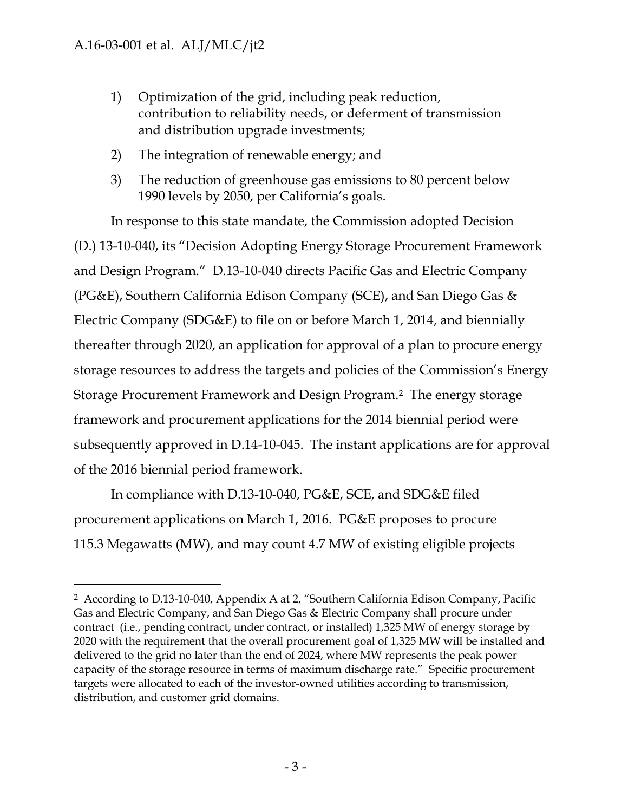$\overline{a}$ 

- 1) Optimization of the grid, including peak reduction, contribution to reliability needs, or deferment of transmission and distribution upgrade investments;
- 2) The integration of renewable energy; and
- 3) The reduction of greenhouse gas emissions to 80 percent below 1990 levels by 2050, per California's goals.

In response to this state mandate, the Commission adopted Decision (D.) 13-10-040, its "Decision Adopting Energy Storage Procurement Framework and Design Program." D.13-10-040 directs Pacific Gas and Electric Company (PG&E), Southern California Edison Company (SCE), and San Diego Gas & Electric Company (SDG&E) to file on or before March 1, 2014, and biennially thereafter through 2020, an application for approval of a plan to procure energy storage resources to address the targets and policies of the Commission"s Energy Storage Procurement Framework and Design Program.2 The energy storage framework and procurement applications for the 2014 biennial period were subsequently approved in D.14-10-045. The instant applications are for approval of the 2016 biennial period framework.

In compliance with D.13-10-040, PG&E, SCE, and SDG&E filed procurement applications on March 1, 2016. PG&E proposes to procure 115.3 Megawatts (MW), and may count 4.7 MW of existing eligible projects

<sup>2</sup> According to D.13-10-040, Appendix A at 2, "Southern California Edison Company, Pacific Gas and Electric Company, and San Diego Gas & Electric Company shall procure under contract (i.e., pending contract, under contract, or installed) 1,325 MW of energy storage by 2020 with the requirement that the overall procurement goal of 1,325 MW will be installed and delivered to the grid no later than the end of 2024, where MW represents the peak power capacity of the storage resource in terms of maximum discharge rate." Specific procurement targets were allocated to each of the investor-owned utilities according to transmission, distribution, and customer grid domains.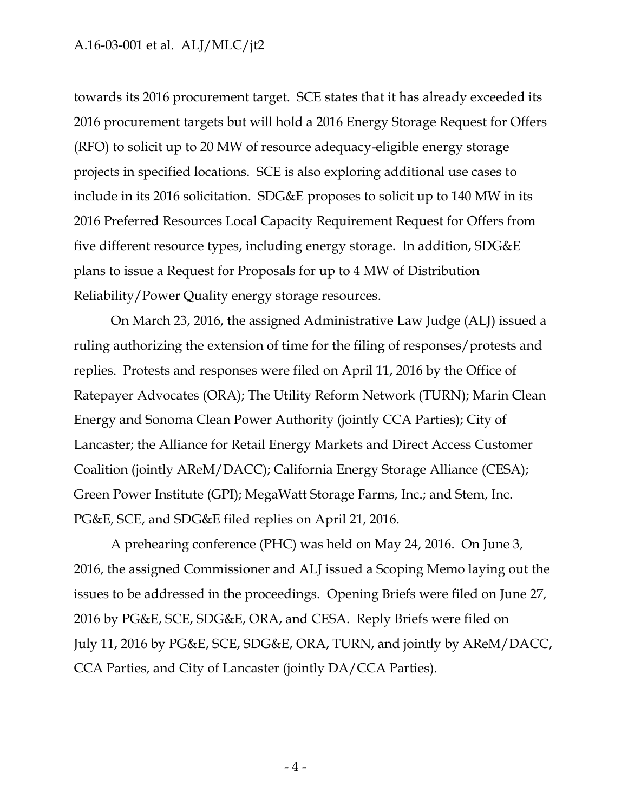towards its 2016 procurement target. SCE states that it has already exceeded its 2016 procurement targets but will hold a 2016 Energy Storage Request for Offers (RFO) to solicit up to 20 MW of resource adequacy-eligible energy storage projects in specified locations. SCE is also exploring additional use cases to include in its 2016 solicitation. SDG&E proposes to solicit up to 140 MW in its 2016 Preferred Resources Local Capacity Requirement Request for Offers from five different resource types, including energy storage. In addition, SDG&E plans to issue a Request for Proposals for up to 4 MW of Distribution Reliability/Power Quality energy storage resources.

On March 23, 2016, the assigned Administrative Law Judge (ALJ) issued a ruling authorizing the extension of time for the filing of responses/protests and replies. Protests and responses were filed on April 11, 2016 by the Office of Ratepayer Advocates (ORA); The Utility Reform Network (TURN); Marin Clean Energy and Sonoma Clean Power Authority (jointly CCA Parties); City of Lancaster; the Alliance for Retail Energy Markets and Direct Access Customer Coalition (jointly AReM/DACC); California Energy Storage Alliance (CESA); Green Power Institute (GPI); MegaWatt Storage Farms, Inc.; and Stem, Inc. PG&E, SCE, and SDG&E filed replies on April 21, 2016.

A prehearing conference (PHC) was held on May 24, 2016. On June 3, 2016, the assigned Commissioner and ALJ issued a Scoping Memo laying out the issues to be addressed in the proceedings. Opening Briefs were filed on June 27, 2016 by PG&E, SCE, SDG&E, ORA, and CESA. Reply Briefs were filed on July 11, 2016 by PG&E, SCE, SDG&E, ORA, TURN, and jointly by AReM/DACC, CCA Parties, and City of Lancaster (jointly DA/CCA Parties).

- 4 -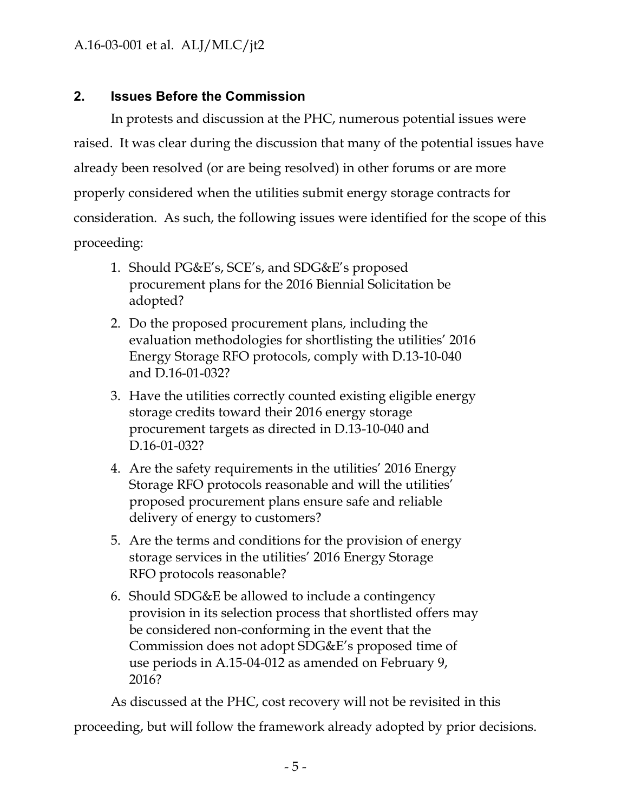# <span id="page-5-0"></span>**2. Issues Before the Commission**

In protests and discussion at the PHC, numerous potential issues were raised. It was clear during the discussion that many of the potential issues have already been resolved (or are being resolved) in other forums or are more properly considered when the utilities submit energy storage contracts for consideration. As such, the following issues were identified for the scope of this proceeding:

- 1. Should PG&E"s, SCE"s, and SDG&E"s proposed procurement plans for the 2016 Biennial Solicitation be adopted?
- 2. Do the proposed procurement plans, including the evaluation methodologies for shortlisting the utilities" 2016 Energy Storage RFO protocols, comply with D.13-10-040 and D.16-01-032?
- 3. Have the utilities correctly counted existing eligible energy storage credits toward their 2016 energy storage procurement targets as directed in D.13-10-040 and D.16-01-032?
- 4. Are the safety requirements in the utilities' 2016 Energy Storage RFO protocols reasonable and will the utilities' proposed procurement plans ensure safe and reliable delivery of energy to customers?
- 5. Are the terms and conditions for the provision of energy storage services in the utilities" 2016 Energy Storage RFO protocols reasonable?
- 6. Should SDG&E be allowed to include a contingency provision in its selection process that shortlisted offers may be considered non-conforming in the event that the Commission does not adopt SDG&E"s proposed time of use periods in A.15-04-012 as amended on February 9, 2016?

As discussed at the PHC, cost recovery will not be revisited in this proceeding, but will follow the framework already adopted by prior decisions.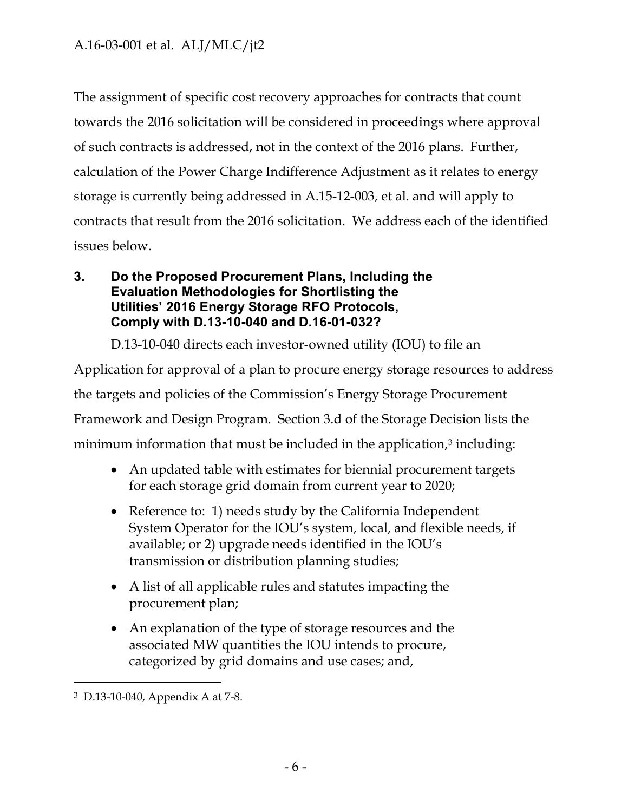The assignment of specific cost recovery approaches for contracts that count towards the 2016 solicitation will be considered in proceedings where approval of such contracts is addressed, not in the context of the 2016 plans. Further, calculation of the Power Charge Indifference Adjustment as it relates to energy storage is currently being addressed in A.15-12-003, et al. and will apply to contracts that result from the 2016 solicitation. We address each of the identified issues below.

### <span id="page-6-0"></span>**3. Do the Proposed Procurement Plans, Including the Evaluation Methodologies for Shortlisting the Utilities' 2016 Energy Storage RFO Protocols, Comply with D.13-10-040 and D.16-01-032?**

D.13-10-040 directs each investor-owned utility (IOU) to file an

Application for approval of a plan to procure energy storage resources to address the targets and policies of the Commission"s Energy Storage Procurement Framework and Design Program. Section 3.d of the Storage Decision lists the minimum information that must be included in the application,<sup>3</sup> including:

- An updated table with estimates for biennial procurement targets for each storage grid domain from current year to 2020;
- Reference to: 1) needs study by the California Independent System Operator for the IOU"s system, local, and flexible needs, if available; or 2) upgrade needs identified in the IOU"s transmission or distribution planning studies;
- A list of all applicable rules and statutes impacting the procurement plan;
- An explanation of the type of storage resources and the associated MW quantities the IOU intends to procure, categorized by grid domains and use cases; and,

<sup>3</sup> D.13-10-040, Appendix A at 7-8.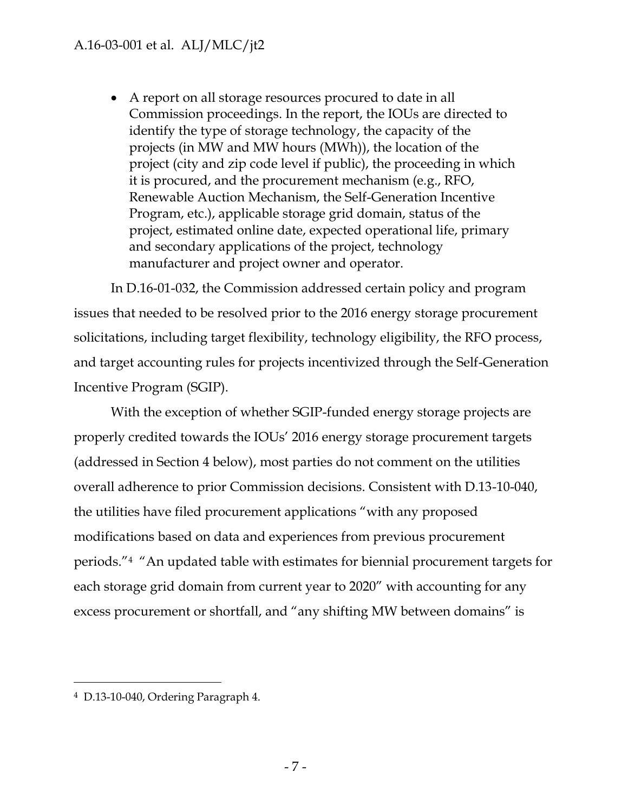A report on all storage resources procured to date in all Commission proceedings. In the report, the IOUs are directed to identify the type of storage technology, the capacity of the projects (in MW and MW hours (MWh)), the location of the project (city and zip code level if public), the proceeding in which it is procured, and the procurement mechanism (e.g., RFO, Renewable Auction Mechanism, the Self-Generation Incentive Program, etc.), applicable storage grid domain, status of the project, estimated online date, expected operational life, primary and secondary applications of the project, technology manufacturer and project owner and operator.

In D.16-01-032, the Commission addressed certain policy and program issues that needed to be resolved prior to the 2016 energy storage procurement solicitations, including target flexibility, technology eligibility, the RFO process, and target accounting rules for projects incentivized through the Self-Generation Incentive Program (SGIP).

With the exception of whether SGIP-funded energy storage projects are properly credited towards the IOUs" 2016 energy storage procurement targets (addressed in Section 4 below), most parties do not comment on the utilities overall adherence to prior Commission decisions. Consistent with D.13-10-040, the utilities have filed procurement applications "with any proposed modifications based on data and experiences from previous procurement periods."<sup>4</sup> "An updated table with estimates for biennial procurement targets for each storage grid domain from current year to 2020" with accounting for any excess procurement or shortfall, and "any shifting MW between domains" is

<sup>4</sup> D.13-10-040, Ordering Paragraph 4.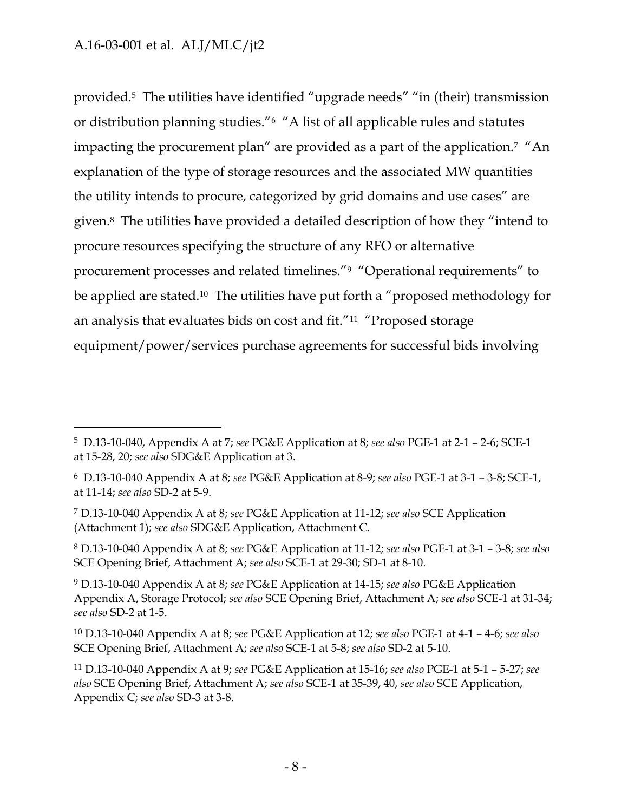$\overline{a}$ 

provided.5 The utilities have identified "upgrade needs" "in (their) transmission or distribution planning studies."<sup>6</sup> "A list of all applicable rules and statutes impacting the procurement plan" are provided as a part of the application.<sup>7</sup> "An explanation of the type of storage resources and the associated MW quantities the utility intends to procure, categorized by grid domains and use cases" are given.<sup>8</sup> The utilities have provided a detailed description of how they "intend to procure resources specifying the structure of any RFO or alternative procurement processes and related timelines."<sup>9</sup> "Operational requirements" to be applied are stated.<sup>10</sup> The utilities have put forth a "proposed methodology for an analysis that evaluates bids on cost and fit."<sup>11</sup> "Proposed storage equipment/power/services purchase agreements for successful bids involving

<sup>5</sup> D.13-10-040, Appendix A at 7; *see* PG&E Application at 8; *see also* PGE-1 at 2-1 – 2-6; SCE-1 at 15-28, 20; *see also* SDG&E Application at 3.

<sup>6</sup> D.13-10-040 Appendix A at 8; *see* PG&E Application at 8-9; *see also* PGE-1 at 3-1 – 3-8; SCE-1, at 11-14; *see also* SD-2 at 5-9.

<sup>7</sup> D.13-10-040 Appendix A at 8; *see* PG&E Application at 11-12; *see also* SCE Application (Attachment 1); *see also* SDG&E Application, Attachment C.

<sup>8</sup> D.13-10-040 Appendix A at 8; *see* PG&E Application at 11-12; *see also* PGE-1 at 3-1 – 3-8; *see also*  SCE Opening Brief, Attachment A; *see also* SCE-1 at 29-30; SD-1 at 8-10.

<sup>9</sup> D.13-10-040 Appendix A at 8; *see* PG&E Application at 14-15; *see also* PG&E Application Appendix A, Storage Protocol; *see also* SCE Opening Brief, Attachment A; *see also* SCE-1 at 31-34; *see also* SD-2 at 1-5.

<sup>10</sup> D.13-10-040 Appendix A at 8; *see* PG&E Application at 12; *see also* PGE-1 at 4-1 – 4-6; *see also*  SCE Opening Brief, Attachment A; *see also* SCE-1 at 5-8; *see also* SD-2 at 5-10.

<sup>11</sup> D.13-10-040 Appendix A at 9; *see* PG&E Application at 15-16; *see also* PGE-1 at 5-1 – 5-27; *see also* SCE Opening Brief, Attachment A; *see also* SCE-1 at 35-39, 40, *see also* SCE Application, Appendix C; *see also* SD-3 at 3-8.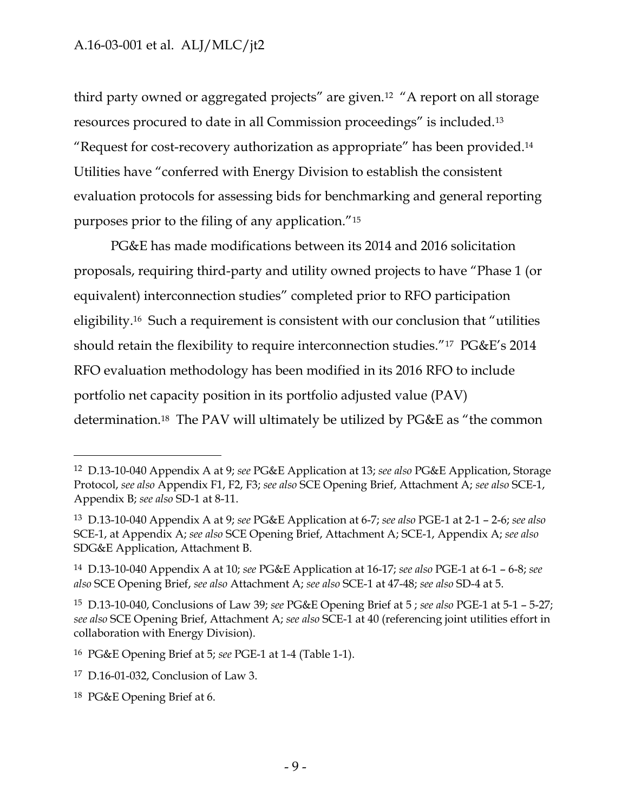third party owned or aggregated projects" are given.<sup>12</sup> "A report on all storage resources procured to date in all Commission proceedings" is included.<sup>13</sup> "Request for cost-recovery authorization as appropriate" has been provided.<sup>14</sup> Utilities have "conferred with Energy Division to establish the consistent evaluation protocols for assessing bids for benchmarking and general reporting purposes prior to the filing of any application."<sup>15</sup>

PG&E has made modifications between its 2014 and 2016 solicitation proposals, requiring third-party and utility owned projects to have "Phase 1 (or equivalent) interconnection studies" completed prior to RFO participation eligibility.16 Such a requirement is consistent with our conclusion that "utilities should retain the flexibility to require interconnection studies."<sup>17</sup> PG&E"s 2014 RFO evaluation methodology has been modified in its 2016 RFO to include portfolio net capacity position in its portfolio adjusted value (PAV) determination.18 The PAV will ultimately be utilized by PG&E as "the common

<sup>12</sup> D.13-10-040 Appendix A at 9; *see* PG&E Application at 13; *see also* PG&E Application, Storage Protocol, *see also* Appendix F1, F2, F3; *see also* SCE Opening Brief, Attachment A; *see also* SCE-1, Appendix B; *see also* SD-1 at 8-11.

<sup>13</sup> D.13-10-040 Appendix A at 9; *see* PG&E Application at 6-7; *see also* PGE-1 at 2-1 – 2-6; *see also*  SCE-1, at Appendix A; *see also* SCE Opening Brief, Attachment A; SCE-1, Appendix A; *see also* SDG&E Application, Attachment B.

<sup>14</sup> D.13-10-040 Appendix A at 10; *see* PG&E Application at 16-17; *see also* PGE-1 at 6-1 – 6-8; *see also* SCE Opening Brief, *see also* Attachment A; *see also* SCE-1 at 47-48; *see also* SD-4 at 5.

<sup>15</sup> D.13-10-040, Conclusions of Law 39; *see* PG&E Opening Brief at 5 ; *see also* PGE-1 at 5-1 – 5-27; *see also* SCE Opening Brief, Attachment A; *see also* SCE-1 at 40 (referencing joint utilities effort in collaboration with Energy Division).

<sup>16</sup> PG&E Opening Brief at 5; *see* PGE-1 at 1-4 (Table 1-1).

<sup>17</sup> D.16-01-032, Conclusion of Law 3.

<sup>18</sup> PG&E Opening Brief at 6.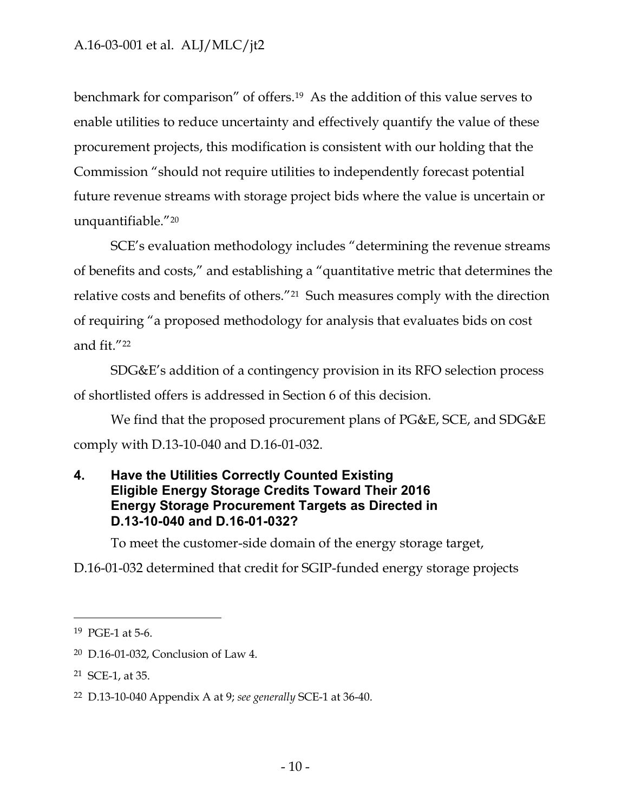benchmark for comparison" of offers.19 As the addition of this value serves to enable utilities to reduce uncertainty and effectively quantify the value of these procurement projects, this modification is consistent with our holding that the Commission "should not require utilities to independently forecast potential future revenue streams with storage project bids where the value is uncertain or unquantifiable."<sup>20</sup>

SCE"s evaluation methodology includes "determining the revenue streams of benefits and costs," and establishing a "quantitative metric that determines the relative costs and benefits of others."21 Such measures comply with the direction of requiring "a proposed methodology for analysis that evaluates bids on cost and fit."<sup>22</sup>

SDG&E"s addition of a contingency provision in its RFO selection process of shortlisted offers is addressed in Section 6 of this decision.

We find that the proposed procurement plans of PG&E, SCE, and SDG&E comply with D.13-10-040 and D.16-01-032.

### <span id="page-10-0"></span>**4. Have the Utilities Correctly Counted Existing Eligible Energy Storage Credits Toward Their 2016 Energy Storage Procurement Targets as Directed in D.13-10-040 and D.16-01-032?**

To meet the customer-side domain of the energy storage target,

D.16-01-032 determined that credit for SGIP-funded energy storage projects

<sup>19</sup> PGE-1 at 5-6.

<sup>20</sup> D.16-01-032, Conclusion of Law 4.

<sup>21</sup> SCE-1, at 35.

<sup>22</sup> D.13-10-040 Appendix A at 9; *see generally* SCE-1 at 36-40.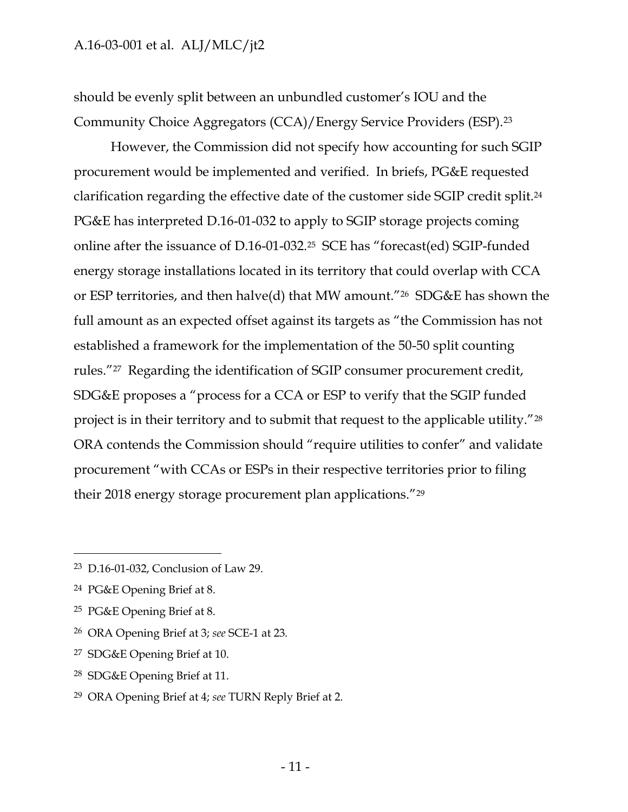should be evenly split between an unbundled customer"s IOU and the Community Choice Aggregators (CCA)/Energy Service Providers (ESP).<sup>23</sup>

However, the Commission did not specify how accounting for such SGIP procurement would be implemented and verified. In briefs, PG&E requested clarification regarding the effective date of the customer side SGIP credit split.<sup>24</sup> PG&E has interpreted D.16-01-032 to apply to SGIP storage projects coming online after the issuance of D.16-01-032.<sup>25</sup> SCE has "forecast(ed) SGIP-funded energy storage installations located in its territory that could overlap with CCA or ESP territories, and then halve(d) that MW amount."26 SDG&E has shown the full amount as an expected offset against its targets as "the Commission has not established a framework for the implementation of the 50-50 split counting rules."27 Regarding the identification of SGIP consumer procurement credit, SDG&E proposes a "process for a CCA or ESP to verify that the SGIP funded project is in their territory and to submit that request to the applicable utility."<sup>28</sup> ORA contends the Commission should "require utilities to confer" and validate procurement "with CCAs or ESPs in their respective territories prior to filing their 2018 energy storage procurement plan applications."<sup>29</sup>

- <sup>26</sup> ORA Opening Brief at 3; *see* SCE-1 at 23.
- <sup>27</sup> SDG&E Opening Brief at 10.
- <sup>28</sup> SDG&E Opening Brief at 11.

<sup>23</sup> D.16-01-032, Conclusion of Law 29.

<sup>24</sup> PG&E Opening Brief at 8.

<sup>25</sup> PG&E Opening Brief at 8.

<sup>29</sup> ORA Opening Brief at 4; *see* TURN Reply Brief at 2.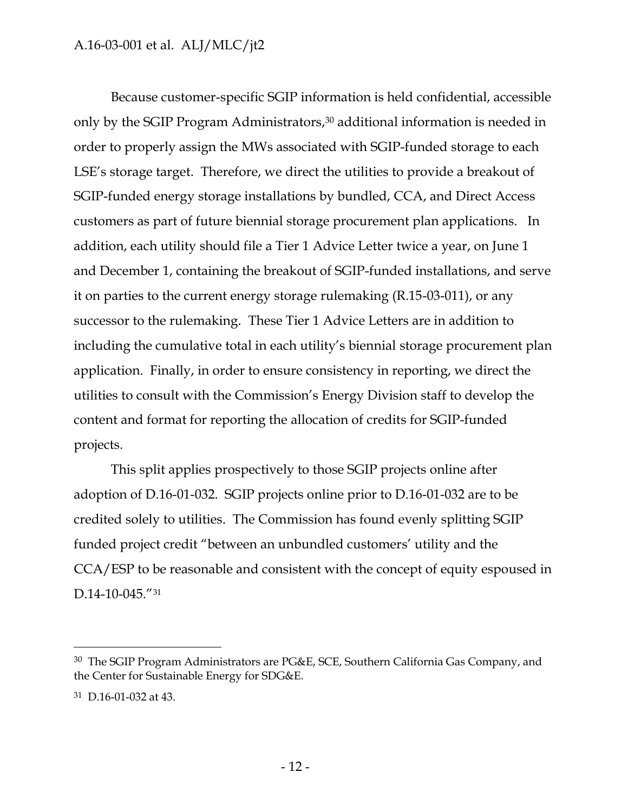Because customer-specific SGIP information is held confidential, accessible only by the SGIP Program Administrators,<sup>30</sup> additional information is needed in order to properly assign the MWs associated with SGIP-funded storage to each LSE"s storage target. Therefore, we direct the utilities to provide a breakout of SGIP-funded energy storage installations by bundled, CCA, and Direct Access customers as part of future biennial storage procurement plan applications. In addition, each utility should file a Tier 1 Advice Letter twice a year, on June 1 and December 1, containing the breakout of SGIP-funded installations, and serve it on parties to the current energy storage rulemaking (R.15-03-011), or any successor to the rulemaking. These Tier 1 Advice Letters are in addition to including the cumulative total in each utility"s biennial storage procurement plan application. Finally, in order to ensure consistency in reporting, we direct the utilities to consult with the Commission"s Energy Division staff to develop the content and format for reporting the allocation of credits for SGIP-funded projects.

This split applies prospectively to those SGIP projects online after adoption of D.16-01-032. SGIP projects online prior to D.16-01-032 are to be credited solely to utilities. The Commission has found evenly splitting SGIP funded project credit "between an unbundled customers' utility and the CCA/ESP to be reasonable and consistent with the concept of equity espoused in D.14-10-045."31

<sup>30</sup> The SGIP Program Administrators are PG&E, SCE, Southern California Gas Company, and the Center for Sustainable Energy for SDG&E.

<sup>31</sup> D.16-01-032 at 43.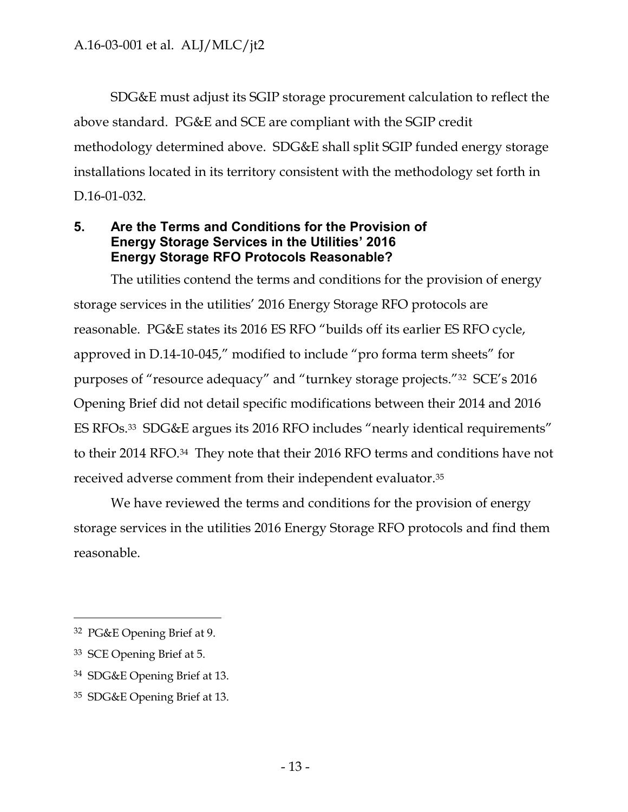SDG&E must adjust its SGIP storage procurement calculation to reflect the above standard. PG&E and SCE are compliant with the SGIP credit methodology determined above. SDG&E shall split SGIP funded energy storage installations located in its territory consistent with the methodology set forth in D.16-01-032.

### <span id="page-13-0"></span>**5. Are the Terms and Conditions for the Provision of Energy Storage Services in the Utilities' 2016 Energy Storage RFO Protocols Reasonable?**

The utilities contend the terms and conditions for the provision of energy storage services in the utilities" 2016 Energy Storage RFO protocols are reasonable. PG&E states its 2016 ES RFO "builds off its earlier ES RFO cycle, approved in D.14-10-045," modified to include "pro forma term sheets" for purposes of "resource adequacy" and "turnkey storage projects."<sup>32</sup> SCE"s 2016 Opening Brief did not detail specific modifications between their 2014 and 2016 ES RFOs.<sup>33</sup> SDG&E argues its 2016 RFO includes "nearly identical requirements" to their 2014 RFO.34 They note that their 2016 RFO terms and conditions have not received adverse comment from their independent evaluator.<sup>35</sup>

We have reviewed the terms and conditions for the provision of energy storage services in the utilities 2016 Energy Storage RFO protocols and find them reasonable.

<sup>32</sup> PG&E Opening Brief at 9.

<sup>33</sup> SCE Opening Brief at 5.

<sup>34</sup> SDG&E Opening Brief at 13.

<sup>35</sup> SDG&E Opening Brief at 13.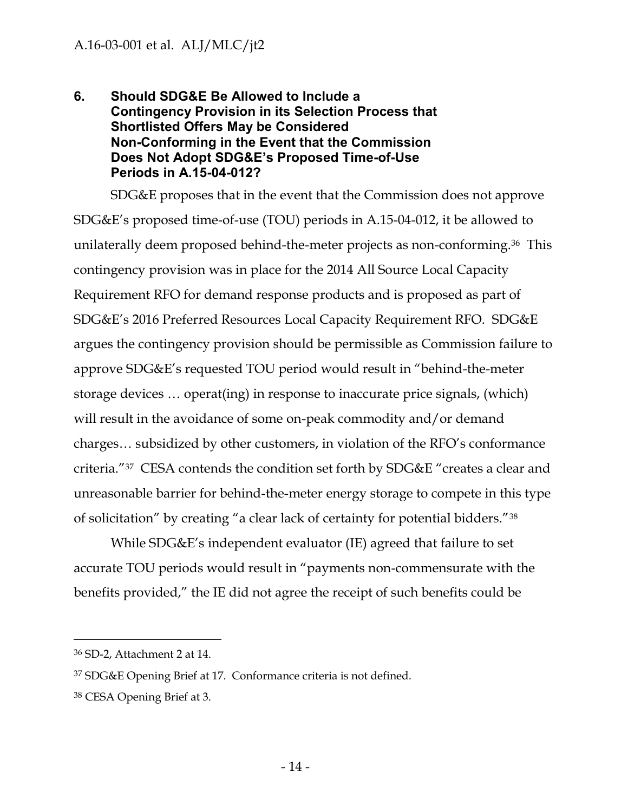### <span id="page-14-0"></span>**6. Should SDG&E Be Allowed to Include a Contingency Provision in its Selection Process that Shortlisted Offers May be Considered Non-Conforming in the Event that the Commission Does Not Adopt SDG&E's Proposed Time-of-Use Periods in A.15-04-012?**

SDG&E proposes that in the event that the Commission does not approve SDG&E"s proposed time-of-use (TOU) periods in A.15-04-012, it be allowed to unilaterally deem proposed behind-the-meter projects as non-conforming.<sup>36</sup> This contingency provision was in place for the 2014 All Source Local Capacity Requirement RFO for demand response products and is proposed as part of SDG&E"s 2016 Preferred Resources Local Capacity Requirement RFO. SDG&E argues the contingency provision should be permissible as Commission failure to approve SDG&E"s requested TOU period would result in "behind-the-meter storage devices … operat(ing) in response to inaccurate price signals, (which) will result in the avoidance of some on-peak commodity and/or demand charges… subsidized by other customers, in violation of the RFO"s conformance criteria."<sup>37</sup> CESA contends the condition set forth by SDG&E "creates a clear and unreasonable barrier for behind-the-meter energy storage to compete in this type of solicitation" by creating "a clear lack of certainty for potential bidders."<sup>38</sup>

While SDG&E"s independent evaluator (IE) agreed that failure to set accurate TOU periods would result in "payments non-commensurate with the benefits provided," the IE did not agree the receipt of such benefits could be

 $\overline{a}$ 

<sup>38</sup> CESA Opening Brief at 3.

<sup>36</sup> SD-2, Attachment 2 at 14.

<sup>37</sup> SDG&E Opening Brief at 17. Conformance criteria is not defined.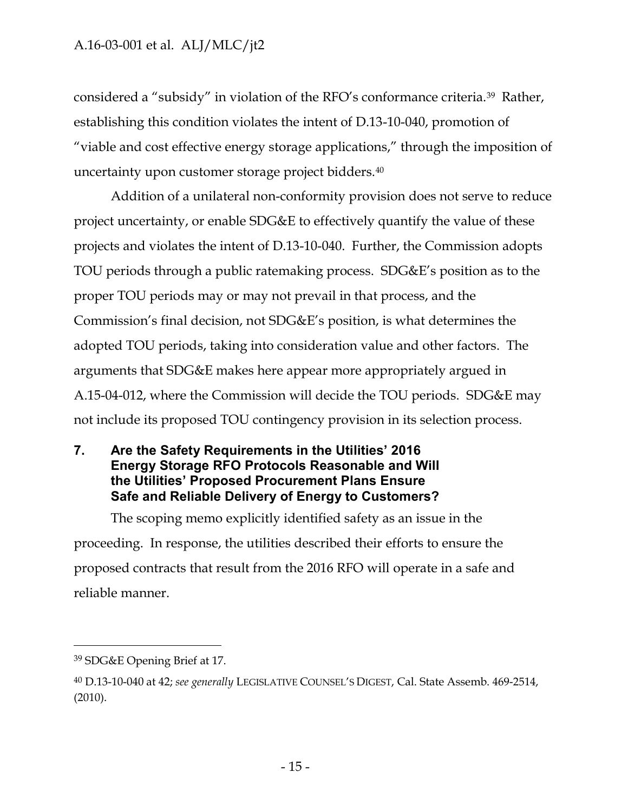considered a "subsidy" in violation of the RFO"s conformance criteria.39 Rather, establishing this condition violates the intent of D.13-10-040, promotion of "viable and cost effective energy storage applications," through the imposition of uncertainty upon customer storage project bidders.<sup>40</sup>

Addition of a unilateral non-conformity provision does not serve to reduce project uncertainty, or enable SDG&E to effectively quantify the value of these projects and violates the intent of D.13-10-040. Further, the Commission adopts TOU periods through a public ratemaking process. SDG&E"s position as to the proper TOU periods may or may not prevail in that process, and the Commission"s final decision, not SDG&E"s position, is what determines the adopted TOU periods, taking into consideration value and other factors. The arguments that SDG&E makes here appear more appropriately argued in A.15-04-012, where the Commission will decide the TOU periods. SDG&E may not include its proposed TOU contingency provision in its selection process.

### <span id="page-15-0"></span>**7. Are the Safety Requirements in the Utilities' 2016 Energy Storage RFO Protocols Reasonable and Will the Utilities' Proposed Procurement Plans Ensure Safe and Reliable Delivery of Energy to Customers?**

The scoping memo explicitly identified safety as an issue in the proceeding. In response, the utilities described their efforts to ensure the proposed contracts that result from the 2016 RFO will operate in a safe and reliable manner.

<sup>39</sup> SDG&E Opening Brief at 17.

<sup>40</sup> D.13-10-040 at 42; *see generally* LEGISLATIVE COUNSEL'S DIGEST, Cal. State Assemb. 469-2514, (2010).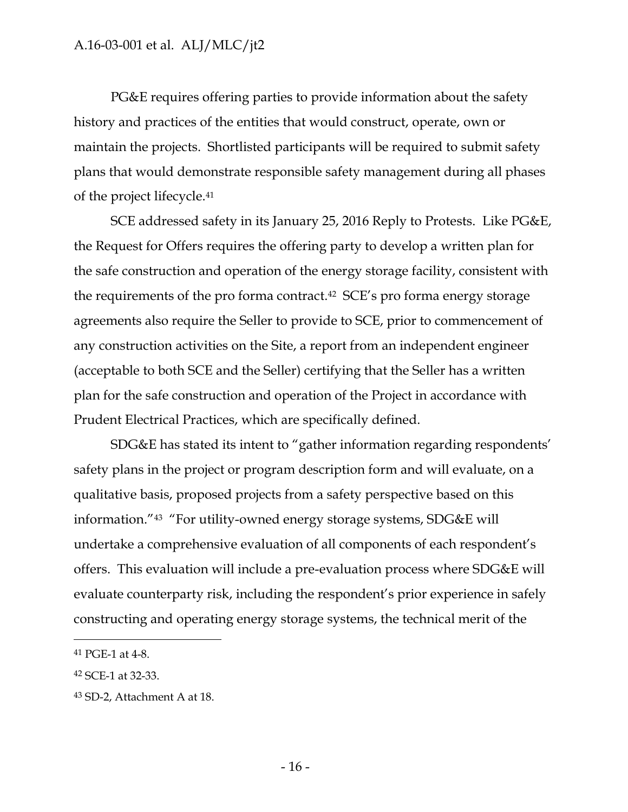PG&E requires offering parties to provide information about the safety history and practices of the entities that would construct, operate, own or maintain the projects. Shortlisted participants will be required to submit safety plans that would demonstrate responsible safety management during all phases of the project lifecycle.<sup>41</sup>

SCE addressed safety in its January 25, 2016 Reply to Protests. Like PG&E, the Request for Offers requires the offering party to develop a written plan for the safe construction and operation of the energy storage facility, consistent with the requirements of the pro forma contract.<sup>42</sup> SCE"s pro forma energy storage agreements also require the Seller to provide to SCE, prior to commencement of any construction activities on the Site, a report from an independent engineer (acceptable to both SCE and the Seller) certifying that the Seller has a written plan for the safe construction and operation of the Project in accordance with Prudent Electrical Practices, which are specifically defined.

SDG&E has stated its intent to "gather information regarding respondents" safety plans in the project or program description form and will evaluate, on a qualitative basis, proposed projects from a safety perspective based on this information."<sup>43</sup> "For utility-owned energy storage systems, SDG&E will undertake a comprehensive evaluation of all components of each respondent's offers. This evaluation will include a pre-evaluation process where SDG&E will evaluate counterparty risk, including the respondent's prior experience in safely constructing and operating energy storage systems, the technical merit of the

<sup>41</sup> PGE-1 at 4-8.

<sup>42</sup> SCE-1 at 32-33.

<sup>43</sup> SD-2, Attachment A at 18.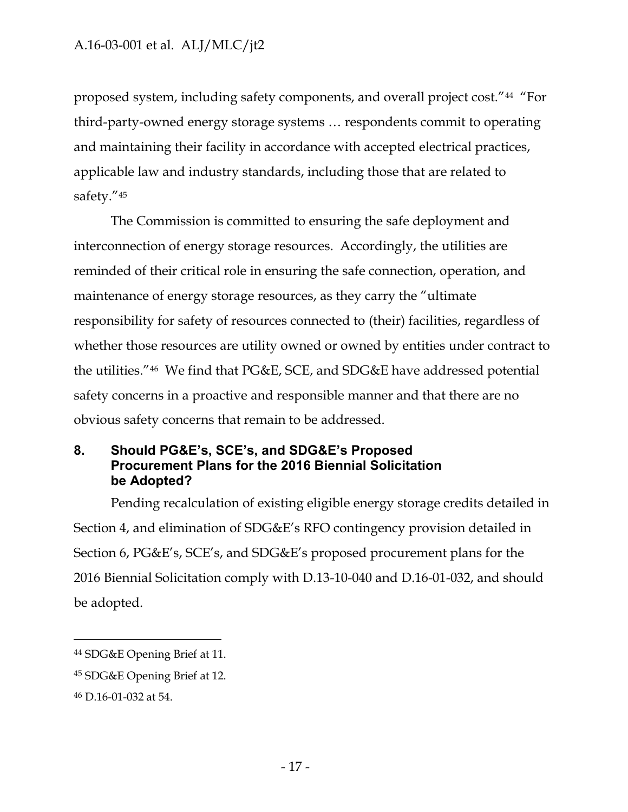proposed system, including safety components, and overall project cost."<sup>44</sup> "For third-party-owned energy storage systems … respondents commit to operating and maintaining their facility in accordance with accepted electrical practices, applicable law and industry standards, including those that are related to safety."<sup>45</sup>

The Commission is committed to ensuring the safe deployment and interconnection of energy storage resources. Accordingly, the utilities are reminded of their critical role in ensuring the safe connection, operation, and maintenance of energy storage resources, as they carry the "ultimate responsibility for safety of resources connected to (their) facilities, regardless of whether those resources are utility owned or owned by entities under contract to the utilities."46 We find that PG&E, SCE, and SDG&E have addressed potential safety concerns in a proactive and responsible manner and that there are no obvious safety concerns that remain to be addressed.

### <span id="page-17-0"></span>**8. Should PG&E's, SCE's, and SDG&E's Proposed Procurement Plans for the 2016 Biennial Solicitation be Adopted?**

Pending recalculation of existing eligible energy storage credits detailed in Section 4, and elimination of SDG&E"s RFO contingency provision detailed in Section 6, PG&E"s, SCE"s, and SDG&E"s proposed procurement plans for the 2016 Biennial Solicitation comply with D.13-10-040 and D.16-01-032, and should be adopted.

<sup>44</sup> SDG&E Opening Brief at 11.

<sup>45</sup> SDG&E Opening Brief at 12.

<sup>46</sup> D.16-01-032 at 54.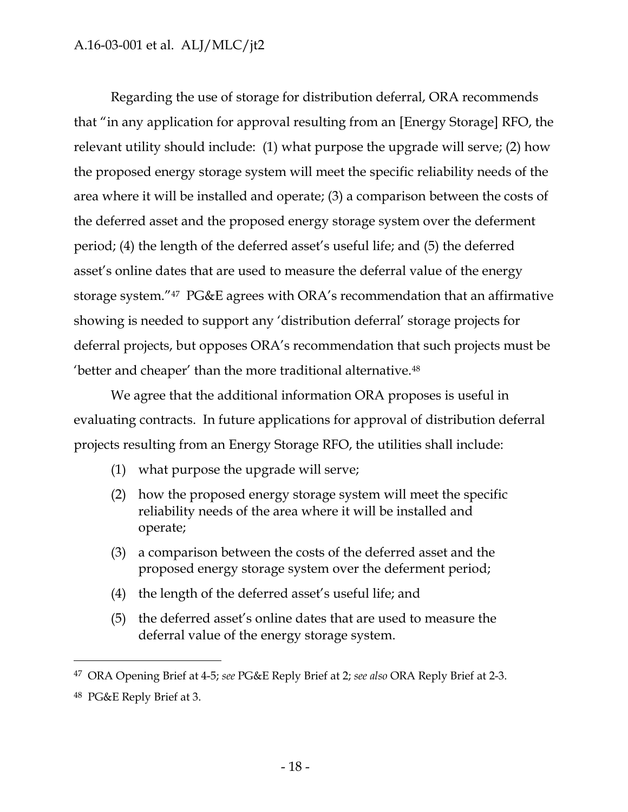Regarding the use of storage for distribution deferral, ORA recommends that "in any application for approval resulting from an [Energy Storage] RFO, the relevant utility should include: (1) what purpose the upgrade will serve; (2) how the proposed energy storage system will meet the specific reliability needs of the area where it will be installed and operate; (3) a comparison between the costs of the deferred asset and the proposed energy storage system over the deferment period; (4) the length of the deferred asset's useful life; and (5) the deferred asset's online dates that are used to measure the deferral value of the energy storage system."<sup>47</sup> PG&E agrees with ORA"s recommendation that an affirmative showing is needed to support any "distribution deferral" storage projects for deferral projects, but opposes ORA"s recommendation that such projects must be 'better and cheaper' than the more traditional alternative.<sup>48</sup>

We agree that the additional information ORA proposes is useful in evaluating contracts. In future applications for approval of distribution deferral projects resulting from an Energy Storage RFO, the utilities shall include:

(1) what purpose the upgrade will serve;

- (2) how the proposed energy storage system will meet the specific reliability needs of the area where it will be installed and operate;
- (3) a comparison between the costs of the deferred asset and the proposed energy storage system over the deferment period;
- (4) the length of the deferred asset"s useful life; and
- (5) the deferred asset"s online dates that are used to measure the deferral value of the energy storage system.

<sup>47</sup> ORA Opening Brief at 4-5; *see* PG&E Reply Brief at 2; *see also* ORA Reply Brief at 2-3. <sup>48</sup> PG&E Reply Brief at 3.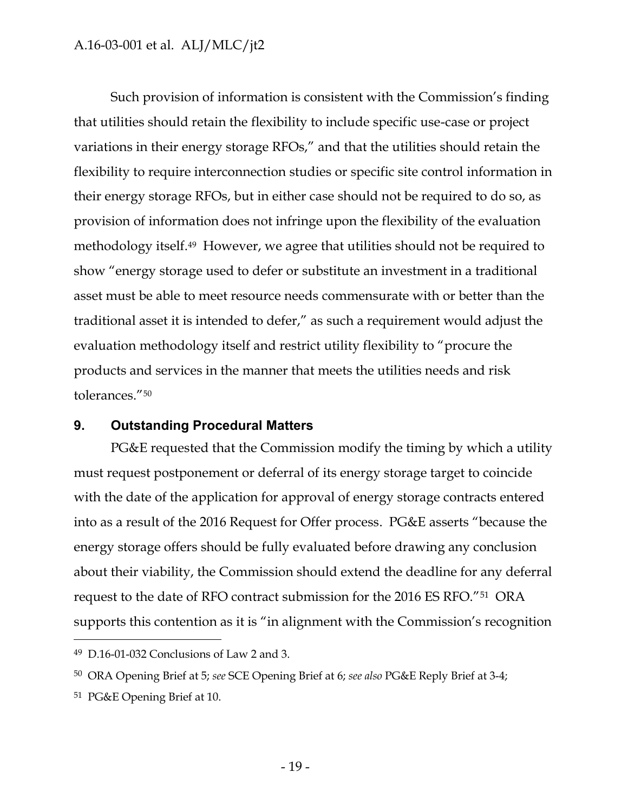Such provision of information is consistent with the Commission's finding that utilities should retain the flexibility to include specific use-case or project variations in their energy storage RFOs," and that the utilities should retain the flexibility to require interconnection studies or specific site control information in their energy storage RFOs, but in either case should not be required to do so, as provision of information does not infringe upon the flexibility of the evaluation methodology itself.49 However, we agree that utilities should not be required to show "energy storage used to defer or substitute an investment in a traditional asset must be able to meet resource needs commensurate with or better than the traditional asset it is intended to defer," as such a requirement would adjust the evaluation methodology itself and restrict utility flexibility to "procure the products and services in the manner that meets the utilities needs and risk tolerances."<sup>50</sup>

#### <span id="page-19-0"></span>**9. Outstanding Procedural Matters**

PG&E requested that the Commission modify the timing by which a utility must request postponement or deferral of its energy storage target to coincide with the date of the application for approval of energy storage contracts entered into as a result of the 2016 Request for Offer process. PG&E asserts "because the energy storage offers should be fully evaluated before drawing any conclusion about their viability, the Commission should extend the deadline for any deferral request to the date of RFO contract submission for the 2016 ES RFO."51 ORA supports this contention as it is "in alignment with the Commission's recognition

<sup>51</sup> PG&E Opening Brief at 10.

<sup>49</sup> D.16-01-032 Conclusions of Law 2 and 3.

<sup>50</sup> ORA Opening Brief at 5; *see* SCE Opening Brief at 6; *see also* PG&E Reply Brief at 3-4;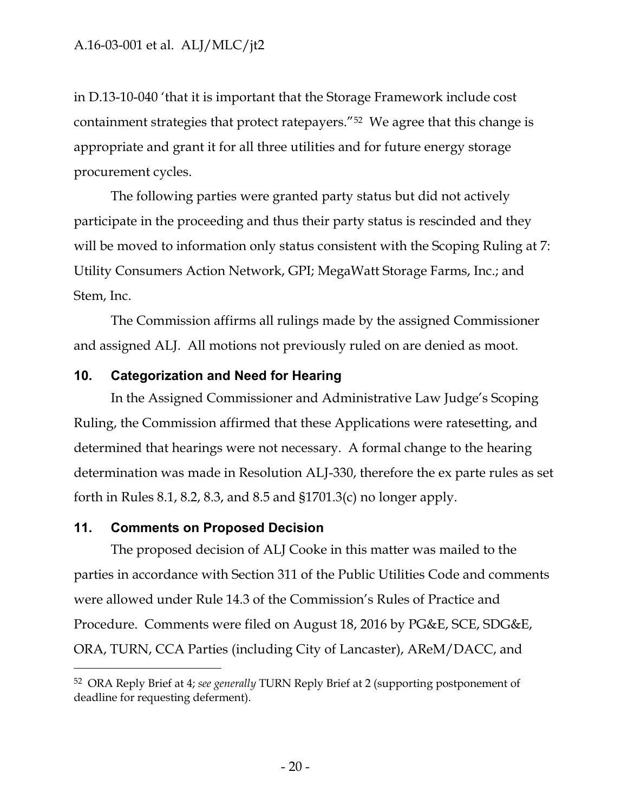in D.13-10-040 "that it is important that the Storage Framework include cost containment strategies that protect ratepayers."<sup>52</sup> We agree that this change is appropriate and grant it for all three utilities and for future energy storage procurement cycles.

The following parties were granted party status but did not actively participate in the proceeding and thus their party status is rescinded and they will be moved to information only status consistent with the Scoping Ruling at 7: Utility Consumers Action Network, GPI; MegaWatt Storage Farms, Inc.; and Stem, Inc.

The Commission affirms all rulings made by the assigned Commissioner and assigned ALJ. All motions not previously ruled on are denied as moot.

### <span id="page-20-0"></span>**10. Categorization and Need for Hearing**

In the Assigned Commissioner and Administrative Law Judge"s Scoping Ruling, the Commission affirmed that these Applications were ratesetting, and determined that hearings were not necessary. A formal change to the hearing determination was made in Resolution ALJ-330, therefore the ex parte rules as set forth in Rules 8.1, 8.2, 8.3, and 8.5 and §1701.3(c) no longer apply.

### <span id="page-20-1"></span>**11. Comments on Proposed Decision**

 $\overline{a}$ 

The proposed decision of ALJ Cooke in this matter was mailed to the parties in accordance with Section 311 of the Public Utilities Code and comments were allowed under Rule 14.3 of the Commission's Rules of Practice and Procedure. Comments were filed on August 18, 2016 by PG&E, SCE, SDG&E, ORA, TURN, CCA Parties (including City of Lancaster), AReM/DACC, and

<sup>52</sup> ORA Reply Brief at 4; *see generally* TURN Reply Brief at 2 (supporting postponement of deadline for requesting deferment).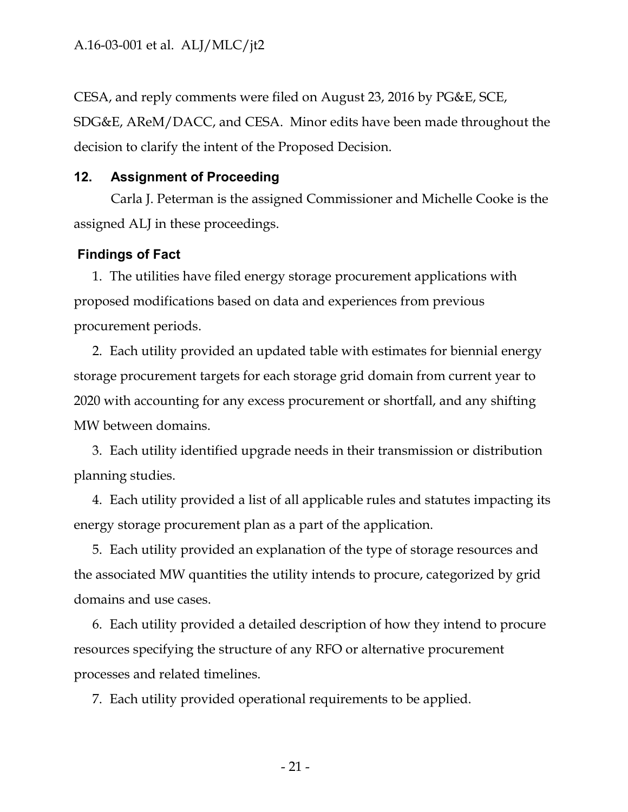CESA, and reply comments were filed on August 23, 2016 by PG&E, SCE, SDG&E, AReM/DACC, and CESA. Minor edits have been made throughout the decision to clarify the intent of the Proposed Decision.

### <span id="page-21-0"></span>**12. Assignment of Proceeding**

Carla J. Peterman is the assigned Commissioner and Michelle Cooke is the assigned ALJ in these proceedings.

### <span id="page-21-1"></span>**Findings of Fact**

1. The utilities have filed energy storage procurement applications with proposed modifications based on data and experiences from previous procurement periods.

2. Each utility provided an updated table with estimates for biennial energy storage procurement targets for each storage grid domain from current year to 2020 with accounting for any excess procurement or shortfall, and any shifting MW between domains.

3. Each utility identified upgrade needs in their transmission or distribution planning studies.

4. Each utility provided a list of all applicable rules and statutes impacting its energy storage procurement plan as a part of the application.

5. Each utility provided an explanation of the type of storage resources and the associated MW quantities the utility intends to procure, categorized by grid domains and use cases.

6. Each utility provided a detailed description of how they intend to procure resources specifying the structure of any RFO or alternative procurement processes and related timelines.

7. Each utility provided operational requirements to be applied.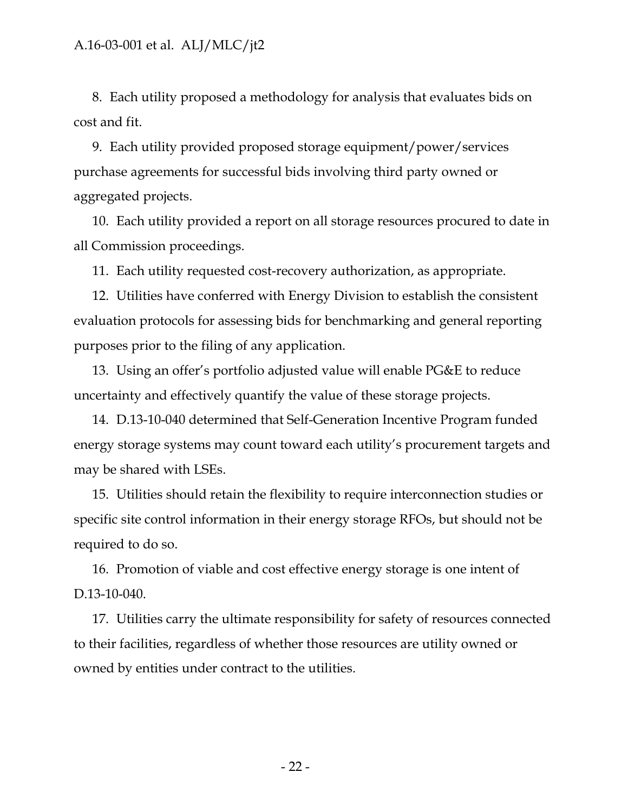8. Each utility proposed a methodology for analysis that evaluates bids on cost and fit.

9. Each utility provided proposed storage equipment/power/services purchase agreements for successful bids involving third party owned or aggregated projects.

10. Each utility provided a report on all storage resources procured to date in all Commission proceedings.

11. Each utility requested cost-recovery authorization, as appropriate.

12. Utilities have conferred with Energy Division to establish the consistent evaluation protocols for assessing bids for benchmarking and general reporting purposes prior to the filing of any application.

13. Using an offer"s portfolio adjusted value will enable PG&E to reduce uncertainty and effectively quantify the value of these storage projects.

14. D.13-10-040 determined that Self-Generation Incentive Program funded energy storage systems may count toward each utility"s procurement targets and may be shared with LSEs.

15. Utilities should retain the flexibility to require interconnection studies or specific site control information in their energy storage RFOs, but should not be required to do so.

16. Promotion of viable and cost effective energy storage is one intent of D.13-10-040.

17. Utilities carry the ultimate responsibility for safety of resources connected to their facilities, regardless of whether those resources are utility owned or owned by entities under contract to the utilities.

- 22 -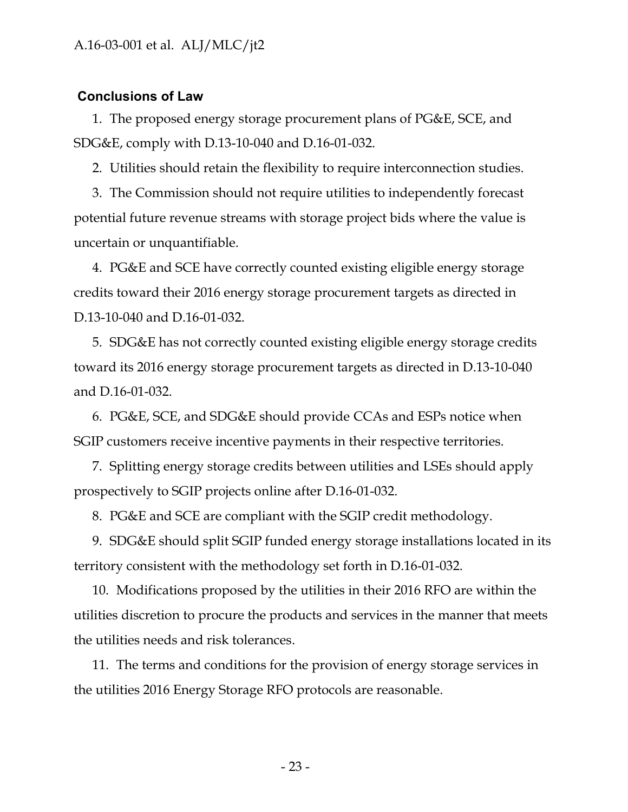#### <span id="page-23-0"></span>**Conclusions of Law**

1. The proposed energy storage procurement plans of PG&E, SCE, and SDG&E, comply with D.13-10-040 and D.16-01-032.

2. Utilities should retain the flexibility to require interconnection studies.

3. The Commission should not require utilities to independently forecast potential future revenue streams with storage project bids where the value is uncertain or unquantifiable.

4. PG&E and SCE have correctly counted existing eligible energy storage credits toward their 2016 energy storage procurement targets as directed in D.13-10-040 and D.16-01-032.

5. SDG&E has not correctly counted existing eligible energy storage credits toward its 2016 energy storage procurement targets as directed in D.13-10-040 and D.16-01-032.

6. PG&E, SCE, and SDG&E should provide CCAs and ESPs notice when SGIP customers receive incentive payments in their respective territories.

7. Splitting energy storage credits between utilities and LSEs should apply prospectively to SGIP projects online after D.16-01-032.

8. PG&E and SCE are compliant with the SGIP credit methodology.

9. SDG&E should split SGIP funded energy storage installations located in its territory consistent with the methodology set forth in D.16-01-032.

10. Modifications proposed by the utilities in their 2016 RFO are within the utilities discretion to procure the products and services in the manner that meets the utilities needs and risk tolerances.

11. The terms and conditions for the provision of energy storage services in the utilities 2016 Energy Storage RFO protocols are reasonable.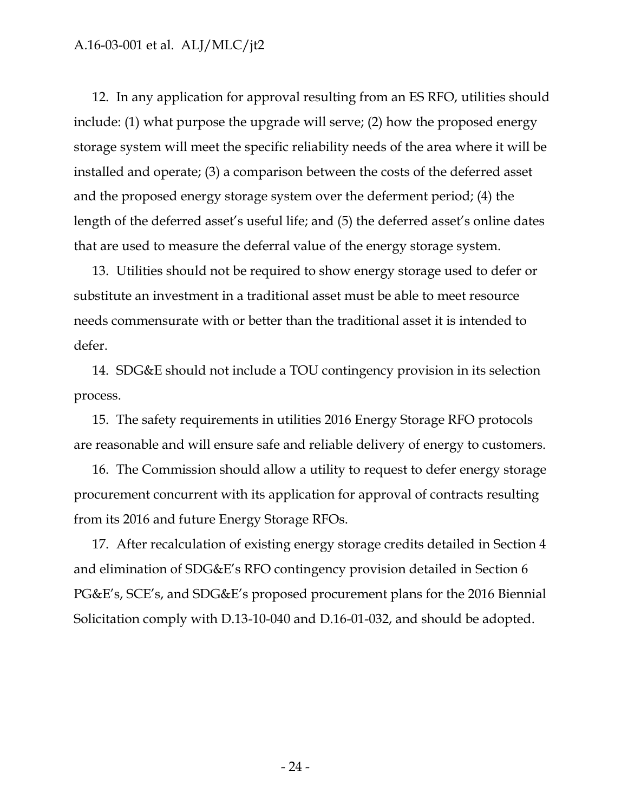12. In any application for approval resulting from an ES RFO, utilities should include: (1) what purpose the upgrade will serve; (2) how the proposed energy storage system will meet the specific reliability needs of the area where it will be installed and operate; (3) a comparison between the costs of the deferred asset and the proposed energy storage system over the deferment period; (4) the length of the deferred asset's useful life; and (5) the deferred asset's online dates that are used to measure the deferral value of the energy storage system.

13. Utilities should not be required to show energy storage used to defer or substitute an investment in a traditional asset must be able to meet resource needs commensurate with or better than the traditional asset it is intended to defer.

14. SDG&E should not include a TOU contingency provision in its selection process.

15. The safety requirements in utilities 2016 Energy Storage RFO protocols are reasonable and will ensure safe and reliable delivery of energy to customers.

16. The Commission should allow a utility to request to defer energy storage procurement concurrent with its application for approval of contracts resulting from its 2016 and future Energy Storage RFOs.

17. After recalculation of existing energy storage credits detailed in Section 4 and elimination of SDG&E"s RFO contingency provision detailed in Section 6 PG&E"s, SCE"s, and SDG&E"s proposed procurement plans for the 2016 Biennial Solicitation comply with D.13-10-040 and D.16-01-032, and should be adopted.

- 24 -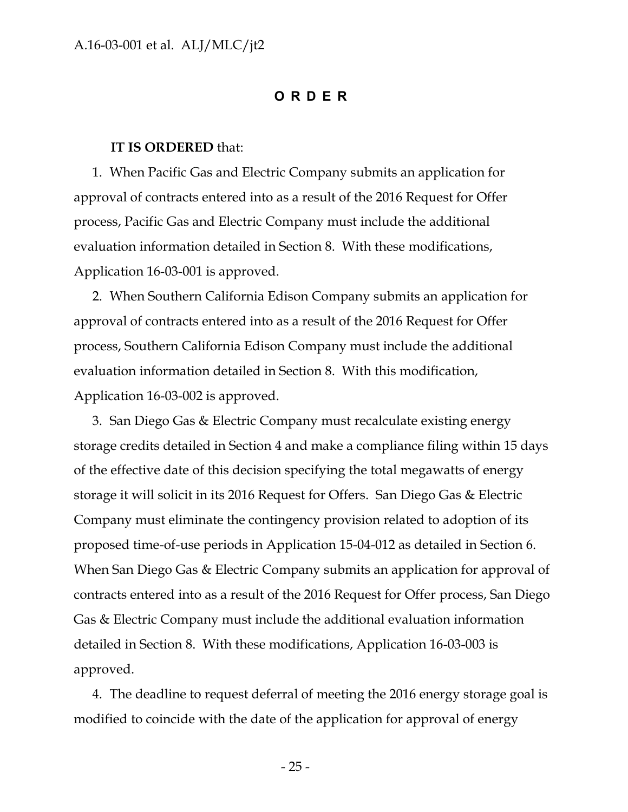#### **ORDER**

#### <span id="page-25-0"></span>**IT IS ORDERED** that:

1. When Pacific Gas and Electric Company submits an application for approval of contracts entered into as a result of the 2016 Request for Offer process, Pacific Gas and Electric Company must include the additional evaluation information detailed in Section 8. With these modifications, Application 16-03-001 is approved.

2. When Southern California Edison Company submits an application for approval of contracts entered into as a result of the 2016 Request for Offer process, Southern California Edison Company must include the additional evaluation information detailed in Section 8. With this modification, Application 16-03-002 is approved.

3. San Diego Gas & Electric Company must recalculate existing energy storage credits detailed in Section 4 and make a compliance filing within 15 days of the effective date of this decision specifying the total megawatts of energy storage it will solicit in its 2016 Request for Offers. San Diego Gas & Electric Company must eliminate the contingency provision related to adoption of its proposed time-of-use periods in Application 15-04-012 as detailed in Section 6. When San Diego Gas & Electric Company submits an application for approval of contracts entered into as a result of the 2016 Request for Offer process, San Diego Gas & Electric Company must include the additional evaluation information detailed in Section 8. With these modifications, Application 16-03-003 is approved.

4. The deadline to request deferral of meeting the 2016 energy storage goal is modified to coincide with the date of the application for approval of energy

- 25 -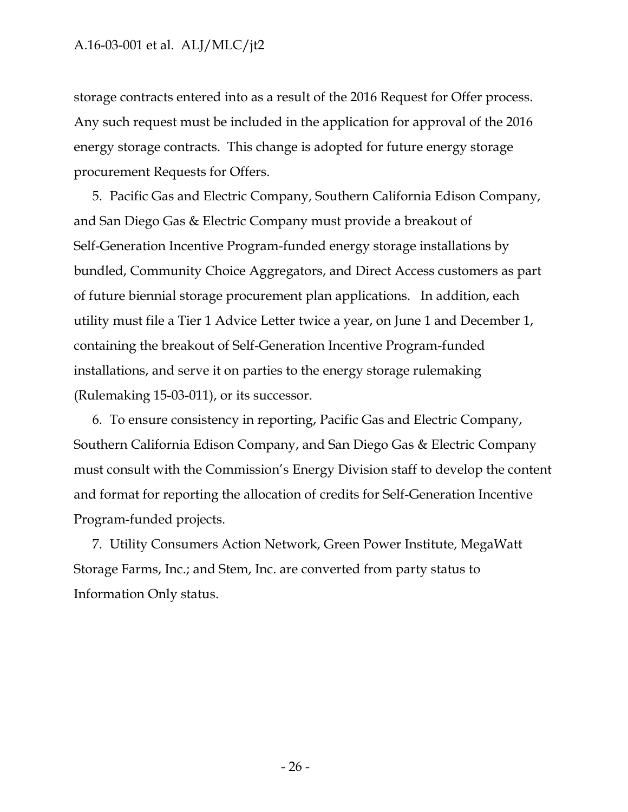storage contracts entered into as a result of the 2016 Request for Offer process. Any such request must be included in the application for approval of the 2016 energy storage contracts. This change is adopted for future energy storage procurement Requests for Offers.

5. Pacific Gas and Electric Company, Southern California Edison Company, and San Diego Gas & Electric Company must provide a breakout of Self-Generation Incentive Program-funded energy storage installations by bundled, Community Choice Aggregators, and Direct Access customers as part of future biennial storage procurement plan applications. In addition, each utility must file a Tier 1 Advice Letter twice a year, on June 1 and December 1, containing the breakout of Self-Generation Incentive Program-funded installations, and serve it on parties to the energy storage rulemaking (Rulemaking 15-03-011), or its successor.

6. To ensure consistency in reporting, Pacific Gas and Electric Company, Southern California Edison Company, and San Diego Gas & Electric Company must consult with the Commission's Energy Division staff to develop the content and format for reporting the allocation of credits for Self-Generation Incentive Program-funded projects.

7. Utility Consumers Action Network, Green Power Institute, MegaWatt Storage Farms, Inc.; and Stem, Inc. are converted from party status to Information Only status.